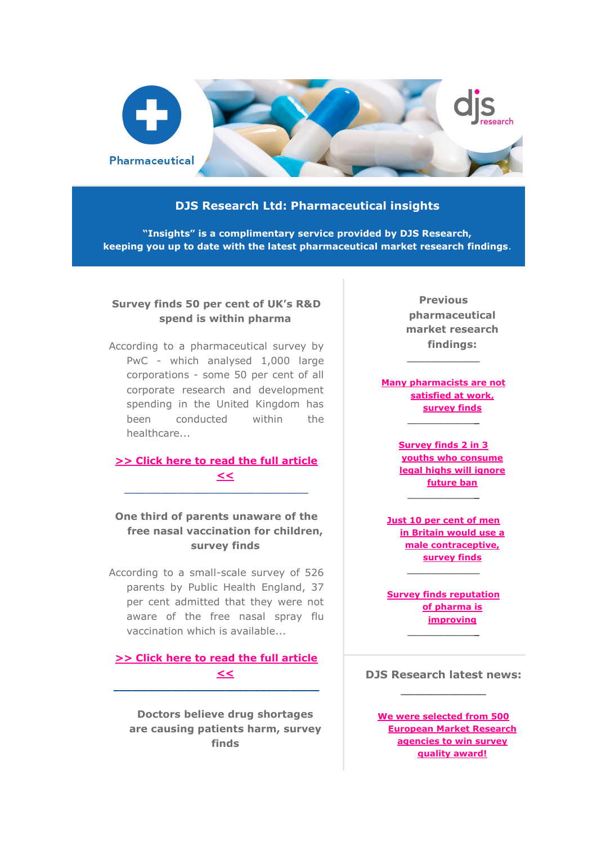

## **DJS Research Ltd: Pharmaceutical insights**

**"Insights" is a complimentary service provided by DJS Research, keeping you up to date with the latest pharmaceutical market research findings**.

## **Survey finds 50 per cent of UK's R&D spend is within pharma**

According to a pharmaceutical survey by PwC - which analysed 1,000 large corporations - some 50 per cent of all corporate research and development spending in the United Kingdom has been conducted within the healthcare...

## **[>> Click here to read the full article](http://www.djsresearch.co.uk/PharmaceuticalMarketResearchInsightsAndFindings/article/Survey-finds-50-per-cent-of-UKs-RD-spend-is-within-pharma-03365)  [<<](http://www.djsresearch.co.uk/PharmaceuticalMarketResearchInsightsAndFindings/article/Survey-finds-50-per-cent-of-UKs-RD-spend-is-within-pharma-03365)**  $\_$  ,  $\_$  ,  $\_$  ,  $\_$  ,  $\_$  ,  $\_$  ,  $\_$  ,  $\_$  ,  $\_$  ,  $\_$  ,  $\_$  ,  $\_$  ,  $\_$  ,  $\_$

# **One third of parents unaware of the free nasal vaccination for children, survey finds**

According to a small-scale survey of 526 parents by Public Health England, 37 per cent admitted that they were not aware of the free nasal spray flu vaccination which is available...

## **[>> Click here to read the full article](http://www.djsresearch.co.uk/PharmaceuticalMarketResearchInsightsAndFindings/article/One-third-of-parents-unaware-of-the-free-nasal-vaccination-for-children-survey-finds-03335)  [<<](http://www.djsresearch.co.uk/PharmaceuticalMarketResearchInsightsAndFindings/article/One-third-of-parents-unaware-of-the-free-nasal-vaccination-for-children-survey-finds-03335) \_\_\_\_\_\_\_\_\_\_\_\_\_\_\_\_\_\_\_\_\_\_\_\_\_\_\_\_\_\_\_\_\_\_\_**

**Doctors believe drug shortages are causing patients harm, survey finds**

**Previous pharmaceutical market research findings:**

**[Many pharmacists are not](http://www.djsresearch.co.uk/PharmaceuticalMarketResearchInsightsAndFindings/article/Many-pharmacists-are-not-satisfied-at-work-survey-finds-03231)  [satisfied at work,](http://www.djsresearch.co.uk/PharmaceuticalMarketResearchInsightsAndFindings/article/Many-pharmacists-are-not-satisfied-at-work-survey-finds-03231)  [survey finds](http://www.djsresearch.co.uk/PharmaceuticalMarketResearchInsightsAndFindings/article/Many-pharmacists-are-not-satisfied-at-work-survey-finds-03231)**

**\_\_\_\_\_\_\_\_\_\_\_\_**

**\_\_\_\_\_\_\_\_\_\_\_\_**

**[Survey finds 2 in 3](http://www.djsresearch.co.uk/PharmaceuticalMarketResearchInsightsAndFindings/article/Survey-finds-2-in-3-youths-who-consume-legal-highs-will-ignore-future-ban-03116)  [youths who consume](http://www.djsresearch.co.uk/PharmaceuticalMarketResearchInsightsAndFindings/article/Survey-finds-2-in-3-youths-who-consume-legal-highs-will-ignore-future-ban-03116)  [legal highs will ignore](http://www.djsresearch.co.uk/PharmaceuticalMarketResearchInsightsAndFindings/article/Survey-finds-2-in-3-youths-who-consume-legal-highs-will-ignore-future-ban-03116)  [future ban](http://www.djsresearch.co.uk/PharmaceuticalMarketResearchInsightsAndFindings/article/Survey-finds-2-in-3-youths-who-consume-legal-highs-will-ignore-future-ban-03116) \_\_\_\_\_\_\_\_\_\_\_\_**

**[Just 10 per cent of men](http://www.djsresearch.co.uk/PharmaceuticalMarketResearchInsightsAndFindings/article/Just-10-per-cent-of-men-in-Britain-would-use-a-male-contraceptive-survey-finds-03067)  [in Britain would use a](http://www.djsresearch.co.uk/PharmaceuticalMarketResearchInsightsAndFindings/article/Just-10-per-cent-of-men-in-Britain-would-use-a-male-contraceptive-survey-finds-03067)  [male contraceptive,](http://www.djsresearch.co.uk/PharmaceuticalMarketResearchInsightsAndFindings/article/Just-10-per-cent-of-men-in-Britain-would-use-a-male-contraceptive-survey-finds-03067)  [survey finds](http://www.djsresearch.co.uk/PharmaceuticalMarketResearchInsightsAndFindings/article/Just-10-per-cent-of-men-in-Britain-would-use-a-male-contraceptive-survey-finds-03067)**

**\_\_\_\_\_\_\_\_\_\_\_\_**

**[Survey finds](http://www.djsresearch.co.uk/PharmaceuticalMarketResearchInsightsAndFindings/article/Survey-finds-reputation-of-pharma-is-improving-03011) reputation [of pharma is](http://www.djsresearch.co.uk/PharmaceuticalMarketResearchInsightsAndFindings/article/Survey-finds-reputation-of-pharma-is-improving-03011)  [improving](http://www.djsresearch.co.uk/PharmaceuticalMarketResearchInsightsAndFindings/article/Survey-finds-reputation-of-pharma-is-improving-03011) \_\_\_\_\_\_\_\_\_\_\_\_**

**DJS Research latest news: \_\_\_\_\_\_\_\_\_\_\_\_**

**[We were selected from 500](http://www.djsresearch.co.uk/news/article/We-were-selected-from-500-European-Market-Research-agencies-to-win-survey-quality-award)  [European Market Research](http://www.djsresearch.co.uk/news/article/We-were-selected-from-500-European-Market-Research-agencies-to-win-survey-quality-award)  [agencies to win survey](http://www.djsresearch.co.uk/news/article/We-were-selected-from-500-European-Market-Research-agencies-to-win-survey-quality-award)  [quality award!](http://www.djsresearch.co.uk/news/article/We-were-selected-from-500-European-Market-Research-agencies-to-win-survey-quality-award)**